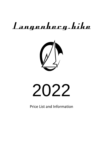

# 2022

Price List and Information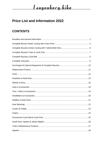### **Price List and Information 2022**

### **CONTENTS**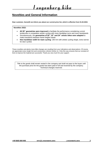#### <span id="page-2-0"></span>**Novelties and General Information**

**Dear customer, herewith we inform you about our current price list, which is effective from 01.02.2022.**

#### **Novelties 2022:**

- **All 26'' geometries were improved** to facilitate the performance considering current tendencies in competition artistic cycling with more handlebar turns and more handstands
- Simultaneously, the **geometries of 20'', 22'' and 24'' artistic bikes were adapted** to make transitions between frame heights easier.
- **New handlebar width for team cycling:** 190 mm with artistic cycling shape, extra narrow for door cyclists

These novelties and plenty more little changes are resulting from your indications and observations. Of course, we appreciate every single hint and constructive criticism further on. Only this way ensures that our constant efforts to improve the material are successful. Thank you very much for your support.

Title to the goods shall remain vested in the company and shall not pass to the buyer until the purchase price for the goods has been paid in full and received by the company. Technical changes reserved.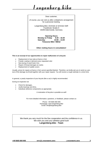Dear customer, of course, you can visit us after a telephonic arrangement for a personal meeting. Langenberg.bike | Schmelz & Schmelz GbR Frankfurter Straße 9 34295 Edermünde, Germany **Opening Hours Monday to Friday 9.30 – 18.30 Saturday 10.00 – 13.00 Timezone MEZ / MESZ Other visiting hours in consultation!**

**This is an excerpt of our opportunities to repair malfunction of a bicycle:**

- Replacement of any tube at frame or fork
- Powder coating in (almost) every requested color
- New lacing of used hubs/ rims
- Repair of thread damages at cranks
- Replacement of saddle covers

Usually, prices for repairs at frame or fork cannot specified blanket. Therefore, we kindly ask you to send us a picture of the damage via Email together with your repair request. You will receive a rough estimate in a short time.

In general, a yearly inspection of your bicycle (like a car) is highly recommended.

During an inspection we

- Check for damages,
- Justify bearings and drive,
- Substitute defective components as appropriate.

A restoration of bicycles is possible as well!

For more detailed information, questions, or feedback, please contact us:

Phone: +49 5665 800 905 Homepage: www.langenberg.bike Email: info@langenberg.bike

#### We thank you very much for the fine cooperation and the confidence in us. We wish you and your athletes good luck! **Langenberg.bike - Team**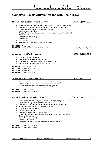### <span id="page-4-0"></span>**Complete Bicycle Artistic Cycling with Chain Drive**

#### **Mini artistic bicycle 20″ with chain drive** (1760,50 €) **2095,00 €**

- Frame made of chrome-moly tube, soldered with high-strength silver solder
- Langenberg large flange hub with adjustable smooth-running bearings
- Square drive with maintenance-free inner bearing
- Laser-cut steel chain rings
- Front and rear wheel with double eyed hollow section rims and Tufo tubular tires
- Tange headset
- Sealed foot support (pins)
- Child saddle
- 90 mm cranks
- 320 mm artistic handlebar, standard color silver or black

**KR032022** Frame height 22 cm **KR032022s** Frame height 22 cm with raiser saddle **+**(168,07 €) **200,00 €** 

#### **Junior bicycle 20″ with chain drive** (1928,57 €) **2295,00 €**

- CNC milled aluminum cranks
- Langenberg raiser saddle, beige or black
- 320 mm artistic handlebar, standard color silver or black
- Identical in features like mini artistic bicycle 20″

| <b>KR032028</b> | Frame height 28 cm |
|-----------------|--------------------|
| KR032032        | Frame height 32 cm |
| <b>KR032036</b> | Frame height 36 cm |

**KR032040** Frame height 40 cm

#### **Junior bicycle 22″ with chain drive** (1928,57 €) **2295,00 €**

- Frame made of chrome-moly tube, soldered with high-strength silver solder
- 320 mm or 350 mm handlebar, standard color silver or black
- In other respects identical features like junior bicycle 20″

**KR032242** Frame height 42 cm

**KR032246** Frame height 45,5 cm

#### **Artistic bicycle 24″ with chain drive** (2012,61 €) **2395,00 €**

- Frame made of chrome-moly tube, soldered with high-strength silver solder
- Optimized frame geometry (short rear triangle)
- Langenberg large flange hub with adjustable smooth-running bearings
- Square drive with maintenance-free inner bearing
- CNC milled aluminum cranks
- Laser-cut steel chain rings
- Langenberg-raiser saddle, beige or black
- Front and rear wheel with Ambrosio hollow section rims and Tufo tubular tires
- Tange Levin headset
- Sealed foot support (pins)
- Powder-coated frame
- Handlebar 350 mm or 380 mm, standard color silver or black

**KR032447** Frame height 47,5 cm

**KR032449** Frame height 49,5 cm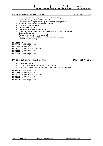#### **Artistic bicycle 26″ with chain drive** (2012,61 €) **2395,00 €**

- Frame made of chrome-moly tube, soldered with high-strength silver
- Optimized frame geometry (short rear triangle)
- Langenberg large flange hub with adjustable smooth-running bearings
- Square drive with maintenance-free inner bearing
- CNC milled aluminum cranks
- Laser-cut steel chain rings
- Langenberg raiser saddle, beige or black
- Front and rear wheel with double eyed hollow section rims and Tufo tubular tires
- Tange Levin headset
- Powder-coated frame, powder-coated fork
- Powder-coated handlebar 380 mm, standard color silver or black
- Sealed foot support (pins)

**KR012648** Frame height 48 cm **KR012650** Frame height 50 cm Frame height 52 cm **KR012652v** Frame height 52 cm abridged **KR012655** Frame height 55 cm **KR012658** Frame height 58 cm **KR012660** Frame height 60 cm

#### **26″ pairs sub-bicycle with chain drive** (2096,64 €) **2495,00 €**

- Strengthened frame
- Rear wheel with double eyed hollow section rim 48 hole
- In other respects identical in features like artistic bicycle 26" with chain drive

**KR022650** Frame height 50 cm **KR022652** Frame height 52 cm **KR022652v** Frame height 52 cm abridged **KR022655** Frame height 55 cm **KR022658** Frame height 58 cm **KR022660** Frame height 60 cm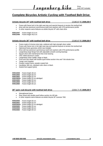### <span id="page-6-0"></span>**Complete Bicycles Artistic Cycling with Toothed Belt Drive**

#### **Artistic bicycle 24″ with toothed belt drive** (2180,67 €) **2595,00 €**

- Frame with frame lock in the right seat stay and special dropouts to tension the toothed belt
- drive with two aluminum synchronous tooth lock washers with HTD performance profile
- In other respects same features as artistic bicycle 24″ with chain drive

**KR012447** Frame height 47,5 cm

**KR012449** Frame height 49,5 cm

#### **Artistic bicycle 26″ with toothed belt drive** (2180,67 €) **2595,00 €**

- Frame made of chrome-moly tube, soldered with high-strength silver solder
- Frame with frame lock in the right seat stay and special dropouts to tension the toothed belt
- Optimized frame geometry (short rear triangle)
- Drive with two aluminum synchronous tooth lock washers with HTD performance profile
- Langenberg large flange hub with adjustable smooth-running bearings
- Square drive with maintenance-free inner bearing
- CNC milled aluminum cranks
- Langenberg raiser saddle, beige or black
- Front and rear wheel with double eyed hollow section rims and Tufo tubular tires
- Tange Levin headset
- Powder-coated frame, powder-coated fork
- Handlebar 380 mm, standard color silver or black
- Sealed foot support (pins)

| <b>KR012648</b>  | Frame height 48 cm          |
|------------------|-----------------------------|
| <b>KR012650</b>  | Frame height 50 cm          |
| KR012652         | Frame height 52 cm          |
| <b>KR012652v</b> | Frame height 52 cm abridged |
| KR012655         | Frame height 55 cm          |
| <b>KR012658</b>  | Frame height 58 cm          |
| <b>KR012660</b>  | Frame height 60 cm          |

#### **26″ pairs sub-bicycle with toothed belt drive** (2264,71 €) **2695,00 €**

- Strengthened frame
- Rear wheel with double eyed hollow section rim 48 hole
- In other respects same features as artistic bicycle 26″ oversize TBD

**KR022650** Frame height 50 cm **KR022652** Frame height 52 cm **KR022652v** Frame height 52 cm abridged **KR022655** Frame height 55 cm **KR022658** Frame height 58 cm **KR022660** Frame height 60 cm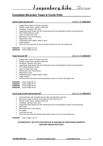### <span id="page-7-0"></span>**Complete Bicycles Team & Cycle Polo**

#### **Junior team bicycle 24″** (1928,57 €) **2295,00 €**

- Lugged frame made of chrome-moly tube
- Powder-coated frame, powder-coated fork
- Handlebar, standard color silver
- Langenberg large flange hub with maintenance-free and adjustable smooth-running bearings
- CNC milled aluminum cranks
- Laser-cut steel chain rings
- Maintenance-free inner bearing
- Wippermann chain
- Langenberg raiser saddle, beige or black
- Tange headset
- Front and rear wheel with Ambrosio hollow section rims and Tufo tubular tires

**KR052447** Frame height 47,5 cm **KR052449** Frame height 49,5 cm

#### **Team bicycle 26″** (2012,61 €) **2395,00 €**

- Lugged frame made of chrome-moly tube
- Powder-coated frame, powder-coated fork
- Handlebar, standard color silver
- Langenberg large flange hub with maintenance-free and adjustable smooth-running bearings
- CNC milled aluminum cranks
- Laser-cut steel chain rings
- Maintenance-free inner bearing
- Wippermann chain
- Langenberg raiser saddle, beige or black
- Tange headset
- Front and rear wheel with double eyed hollow section rims and Tufo tubular tires

**KR052650** Frame height 50 cm

**KR052652** Frame height 52 cm

**KR052655** Frame height 55 cm

**KR052658** Frame height 58 cm

#### **Cycle polo (cycle ball-frame) 26″** (2012,61 €) **2395,00 €**

- Cycle ball frame with strengthened top tube and adjustable seat post
- Main frame made of chrome-moly tube with artistic bicycle fork
- Powder-coated frame, powder-coated fork
- Handlebar, standard color silver
- Langenberg large flange hub with maintenance-free and adjustable smooth-running bearings
- IWIS-chain
- Maintenance-free inner bearing
- Gel saddle
- Cycle ball cap nuts
- Front and rear wheel with double eyed hollow section rims and Tufo tubular tires

#### **KR062650** Frame height ~50 cm

#### **ALTERNATIVELY, THE CYCLE POLO BICYCLE IS AVAILABLE IN TEAM FRAME GEOMETRY AND HIGH ANGLED SEAT POST!**

**+49 5665 800 905 INFO@LANGENBERG.BIKE LANGENBERG.BIKE 7**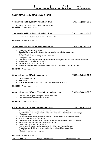### <span id="page-8-0"></span>**Complete Bicycles Cycle Ball**

| Youth cycle ball bicycle 20" with chain drive                                                                                                                                                                                                                                                                                                                                                                                                                                                                                                                                                                                                                                                                                                                                                                            | <u>(1785,71 €) 2125,00 €</u> |
|--------------------------------------------------------------------------------------------------------------------------------------------------------------------------------------------------------------------------------------------------------------------------------------------------------------------------------------------------------------------------------------------------------------------------------------------------------------------------------------------------------------------------------------------------------------------------------------------------------------------------------------------------------------------------------------------------------------------------------------------------------------------------------------------------------------------------|------------------------------|
| Identical in construction to junior cycle ball bicycle 24"<br>KR082035<br>Frame height ~35 cm                                                                                                                                                                                                                                                                                                                                                                                                                                                                                                                                                                                                                                                                                                                            |                              |
| Youth cycle ball bicycle 22" with chain drive                                                                                                                                                                                                                                                                                                                                                                                                                                                                                                                                                                                                                                                                                                                                                                            | <u>(1810,92 €) 2155,00 €</u> |
| Identical in construction to junior cycle ball bicycle 24"                                                                                                                                                                                                                                                                                                                                                                                                                                                                                                                                                                                                                                                                                                                                                               |                              |
| KR082240<br>Frame height ~40 cm                                                                                                                                                                                                                                                                                                                                                                                                                                                                                                                                                                                                                                                                                                                                                                                          |                              |
| Junior cycle ball bicycle 24" with chain drive                                                                                                                                                                                                                                                                                                                                                                                                                                                                                                                                                                                                                                                                                                                                                                           | (1903,36 €) 2265,00 €        |
| Frame made of chrome-moly tube<br>٠<br>Cycle ball frame with full-length strengthened top tube and adjustable seat post<br>$\bullet$<br>Wippermann chain<br>$\bullet$<br>Maintenance-free inner bearing, 78 mm crankcase<br>Strengthened fork<br>$\bullet$<br>Langenberg large flange hub with adjustable smooth-running bearings and laser-cut steel chain ring<br>Black saddle, 40 cm or 50 cm seat post<br>Handlebar width 280 mm or 320 mm<br>$\bullet$<br>Front and rear wheel with double eyed hollow section rim 36 hole and Tufo tubular tires<br>$\bullet$                                                                                                                                                                                                                                                      |                              |
| KR082445<br>Frame height ~45 cm                                                                                                                                                                                                                                                                                                                                                                                                                                                                                                                                                                                                                                                                                                                                                                                          |                              |
| Cycle ball bicycle 26" with chain drive                                                                                                                                                                                                                                                                                                                                                                                                                                                                                                                                                                                                                                                                                                                                                                                  | <u>(2096,63 €) 2495,00 €</u> |
| Laser-cut steel chain ring<br>٠<br><b>KMC</b> chain<br>In other respects identical in construction to cycle ball bicycle 26" TBD                                                                                                                                                                                                                                                                                                                                                                                                                                                                                                                                                                                                                                                                                         |                              |
| KR082650<br>Frame height ~50 cm                                                                                                                                                                                                                                                                                                                                                                                                                                                                                                                                                                                                                                                                                                                                                                                          |                              |
| Cycle ball bicycle 26" type "Fossibär" with chain drive                                                                                                                                                                                                                                                                                                                                                                                                                                                                                                                                                                                                                                                                                                                                                                  | <u>(2096,63 €) 2495,00 €</u> |
| Features equal to cycle ball bicycle 26" with chain drive<br>$\bullet$<br>Longer and once more strengthened frame                                                                                                                                                                                                                                                                                                                                                                                                                                                                                                                                                                                                                                                                                                        |                              |
| Frame height ~50 cm<br><b>KR082650f</b>                                                                                                                                                                                                                                                                                                                                                                                                                                                                                                                                                                                                                                                                                                                                                                                  |                              |
| Cycle ball bicycle 26" with toothed belt drive                                                                                                                                                                                                                                                                                                                                                                                                                                                                                                                                                                                                                                                                                                                                                                           | <u>(2264,71 €) 2695,00 €</u> |
| Frame made of chrome-moly oversize tube with special dropouts and frame lock<br>$\bullet$<br>Cycle ball frame with strengthened top tube, adjustable seat post and abridged rear triangle<br>$\bullet$<br>Strengthened fork<br>٠<br>Drive with two aluminum synchronous tooth lock washers with HTD performance profile<br>٠<br>Powder-coated fork, frame, handlebar<br>$\bullet$<br>Langenberg large flange hub with extra high flange and adjustable smooth-running bearings<br>$\bullet$<br>Maintenance-free inner bearing and strengthened axle<br>٠<br>Black saddle, 40 cm or 50 cm seat post<br>٠<br>Rear wheel with double eyed hollow section rim 48 hole and Tufo tubular tires<br>٠<br>Front wheel with double eyed hollow section rim 36 hole and Tufo tubular tires<br>٠<br>Cycle ball cap nuts<br>$\bullet$ |                              |

• Handlebar width 280 mm or 320 mm

**KR072650** Frame height ~50 cm

**+49 5665 800 905 INFO@LANGENBERG.BIKE LANGENBERG.BIKE 8**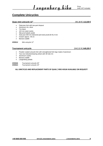#### <span id="page-9-0"></span>**Complete Unicycles**

#### **Quax mini unicycle 12″** (95,38 €) **113,50 €**

• Flatcrown fork with two-part dropout

- Aluminum rim, silver
- Tire black
- 102 mm steel cranks
- Slip-proof plastic pedal
- Seat post 300 mm diamond (anti twist proof) Ø 25,4 mm
- Inseam approx. 48 cm
- Banana saddle

**KR0912** Mini unicycle 12″

#### **Tournament unicycle** (542,02 €) **645,00 €**

- Powder-coated unicycle fork with strengthened fork legs made of aluminum
- Two-row industrial-bearing wheel with 36 hole rim
- Aluminum cranks
- Banana saddle
- Langenberg pedals

**KR0926** Tournament unicycle 26"<br>**KR0924** Tournament unicycle 24"

Tournament unicycle 24"

#### **ALL UNICYCLES AND REPLACEMENT PARTS OF QUAX / KRIS HOLM AVAILABLE ON REQUEST!**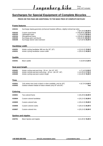### <span id="page-10-0"></span>**Surcharges for Special Equipment of Complete Bicycles**

#### **PRICES ON THIS PAGE ARE ADDITIONAL TO THE BASIC PRICE OF COMPLETE BICYCLES!**

#### **Frame features**

| AS0101                                         | Surcharge sloping geometry (enhanced headset stiffness, slightly inclined top tube)                                                                                    |                                                                                                                                                           |
|------------------------------------------------|------------------------------------------------------------------------------------------------------------------------------------------------------------------------|-----------------------------------------------------------------------------------------------------------------------------------------------------------|
| AS0102<br>AS0103<br>AS0104<br>AS0105<br>AS0106 | Custom sized frame<br>Lightweight tubes<br>Strengthened frame<br>Surcharge pairs sub bicycle<br>Surcharge steerer tube extension                                       | + (67,23 €) <b>80,00 €</b><br>+ (100,84 €) 120,00 €<br>+ (79,83 €) <b>95,00 €</b><br>+ (100,84 €) 120,00 €<br>+ (84,03 €) 100,00 €<br>+ (37,82 €) 45,00 € |
| <b>Handlebar width</b>                         |                                                                                                                                                                        |                                                                                                                                                           |
| AS0201<br>AS0201                               | Artistic cycling handlebar 380 mm (for 20", 22")<br>Artistic cycling handlebar custom width                                                                            | + (12,61 €) 15,00 €<br>+ (29,41 €) 35,00 €                                                                                                                |
| <b>Saddle</b>                                  |                                                                                                                                                                        |                                                                                                                                                           |
| AS0301                                         | <b>Black saddle</b>                                                                                                                                                    | + $(0,00 \in)$ 0,00 €                                                                                                                                     |
| <b>Seat post length</b>                        |                                                                                                                                                                        |                                                                                                                                                           |
| AS0401<br>AS0402<br>AS0402                     | Artistic cycling seat post long - 30 cm - (for 24", 26")<br>Artistic cycling seat post extra-long - 40 cm - (for 24", 26")<br>Artistic cycling seat post custom length | + $(7, 14 \in) 8, 50 \in$<br>+ (14,29 €) 17,00 €<br>+ (13,45 €) 16,00 €                                                                                   |
| <b>Tires</b>                                   |                                                                                                                                                                        |                                                                                                                                                           |
| AS0501<br>AS0502                               | Tufo artistic tires (only in black or silver available, only for 26")<br>Outdoor wheels instead of indoor wheels (only 20" and 26")                                    | + (6,72 €) 8,00 €<br>free                                                                                                                                 |
| Coloring                                       |                                                                                                                                                                        |                                                                                                                                                           |
| AS0601                                         | Two-colored frame                                                                                                                                                      | + (35,29 €) 42,00 €                                                                                                                                       |
| AS0604                                         | Custom-colored handlebar                                                                                                                                               | + (25,21 €) 30,00 €                                                                                                                                       |
| AS0605                                         | Custom-colored hubs                                                                                                                                                    | + (29,41 €) 35,00 €                                                                                                                                       |
| AS0606                                         | Custom-colored cranks                                                                                                                                                  | + (29,41 €) 35,00 €                                                                                                                                       |
| AS0607                                         | Custom-colored rims                                                                                                                                                    | + (25,21 €) 30,00 €                                                                                                                                       |

#### **Spokes and nipples**

| AS0701 | Black Spokes and nipples | +(13,45 €) 16,00 € |
|--------|--------------------------|--------------------|
|        |                          |                    |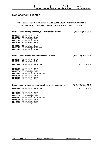#### <span id="page-11-0"></span>**Replacement Frames**

#### **ALL PRICES ARE FOR ONE-COLOERED FRAMES. SURCHARGE OF ADDITIONAL COLORING IS LISTED IN SECTION 'SURCHARCE SPECIAL EQUIPMENT FOR COMPLETE BICYCLES'!**

|                                                                                   | Replacement frame junior bicycle/ mini artistic bicycle                                                                                                                                     | (789,92 €) <b>940,00 €</b> |
|-----------------------------------------------------------------------------------|---------------------------------------------------------------------------------------------------------------------------------------------------------------------------------------------|----------------------------|
| ER032022<br>ER032028<br>ER032032<br>ER032036<br>ER032040                          | 20" frame height 22 cm<br>20" frame height 28 cm<br>20" frame height 32 cm<br>20" frame height 36 cm<br>20" frame height 40 cm                                                              |                            |
| ER032242<br>ER032244<br>ER032246                                                  | 22" frame height 42 cm<br>22" frame height 44 cm (old)<br>22" frame height 45,5 cm                                                                                                          |                            |
|                                                                                   | Replacement frame artistic oversize chain drive                                                                                                                                             | (861,34 €) 1025,00 €       |
| ER032447<br>ER032449                                                              | 24" frame height 47,5 cm<br>24" frame height 49,5 cm                                                                                                                                        |                            |
| ER032550                                                                          | 25" frame height 50 cm (old)                                                                                                                                                                | + (67,23 €) 80,00 €        |
| ER032648<br>ER032650<br>ER032652<br>ER032652v<br>ER032655<br>ER032658<br>ER032660 | 26" frame height 48 cm<br>26" frame height 50 cm<br>26" frame height 52 cm<br>26" frame height 52 cm abridged<br>26" frame height 55 cm<br>26" frame height 58 cm<br>26" frame height 60 cm |                            |
|                                                                                   | Replacement frame pairs sub-bicycle oversize chain drive                                                                                                                                    | (915,97 €) 1090,00 €       |
| ER042550                                                                          | 25" frame height 50 cm (old)                                                                                                                                                                | + (67,23 €) 80,00 €        |
| ER042648<br><b>EDAA2650</b>                                                       | 26" frame height 48 cm<br>26" frame hojght 50 cm                                                                                                                                            |                            |

**ER042650** 26″ frame height 50 cm **ER042652** 26″ frame height 52 cm **ER042652v** 26″ frame height 52 cm abridged **ER042655** 26″ frame height 55 cm **ER042658** 26″ frame height 58 cm **ER042660** 26″ frame height 60 cm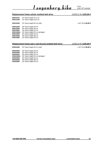# <u>l angenherg.hihe</u>

|                                                                                                 | Replacement frame artistic toothed belt drive                                                                                                                                               | (1025,21 €) <b>1220,00 €</b> |
|-------------------------------------------------------------------------------------------------|---------------------------------------------------------------------------------------------------------------------------------------------------------------------------------------------|------------------------------|
| ER012447<br>ER012449                                                                            | 24" frame height 47,5 cm<br>24" frame height 49,5 cm                                                                                                                                        |                              |
| ER012550                                                                                        | 25" frame height 50 cm (old)                                                                                                                                                                | + (67,23 €) 80,00 €          |
| ER012648<br>ER012650<br>ER012652<br><b>ER012652v</b><br>ER012655<br>ER012658<br><b>ER012660</b> | 26" frame height 48 cm<br>26" frame height 50 cm<br>26" frame height 52 cm<br>26" frame height 52 cm abridged<br>26" frame height 55 cm<br>26" frame height 58 cm<br>26" frame height 60 cm |                              |

|                 | Replacement frame pairs sub-bicycle toothed belt drive | (1046,22 €) 1245,00 €      |
|-----------------|--------------------------------------------------------|----------------------------|
|                 | $ER022550$ 25" frame height 50 cm (old)                | + (67,23 €) <b>80,00 €</b> |
| <b>ER022648</b> | 26" frame height 48 cm                                 |                            |

**ER022650** 26″ frame height 50 cm **ER022652** 26″ frame height 52 cm

**ER022655** 26″ frame height 55 cm **ER022658** 26″ frame height 58 cm **ER022660** 26″ frame height 60 cm

**ER022652v** 26″ frame height 52 cm abridged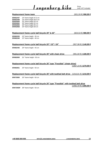**Replacement frame team** (831,93 €) **990,00 €**

| ER052449<br><b>ER052650</b><br>ER052652<br>ER052655<br><b>ER052658</b> | 24" frame height 49,5 cm<br>26" frame height 50 cm<br>26" frame height 52 cm<br>26" frame height 55 cm<br>26" frame height 58 cm |                                   |
|------------------------------------------------------------------------|----------------------------------------------------------------------------------------------------------------------------------|-----------------------------------|
|                                                                        | Replacement frame cycle ball bicycle 20" & 22"                                                                                   | <u>(823,53 €) <b>980,00</b> €</u> |
| ER082035<br><b>ER082240</b>                                            | 20" frame height ~35 cm<br>22" frame height ~40 cm                                                                               |                                   |
|                                                                        | Replacement frame cycle ball bicycle 20" / 22" / 24"                                                                             | (957,98 €) <b>1140,00 €</b>       |
| <b>ER082445</b>                                                        | 24" frame height ~45 cm                                                                                                          |                                   |
|                                                                        | Replacement frame cycle ball bicycle 26" with chain drive                                                                        | (991,60 €) <b>1180,00 €</b>       |
| <b>ER082650</b>                                                        | 26 $"$ frame height $~50$ cm                                                                                                     |                                   |
|                                                                        | Replacement frame cycle ball bicycle 26" type "Fossibär" (chain drive)                                                           |                                   |
| ER082651                                                               | 26" frame height ~50 cm                                                                                                          | (1067,23 €) 1270,00 €             |
|                                                                        |                                                                                                                                  |                                   |

**Replacement frame cycle ball bicycle 26″ with toothed belt drive** (1016,81 €) **1210,00 €**

**ER072650** 26″ frame height ~50 cm

**ER052447** 24" frame height 47,5 cm<br>**ER052449** 24" frame height 49,5 cm

| Replacement frame cycle ball bicycle 26" type "Fossibär" with toothed belt drive |                               |
|----------------------------------------------------------------------------------|-------------------------------|
|                                                                                  | $(1092, 44 \in) 1300, 00 \in$ |

**ER072650f** 26″ frame height ~50 cm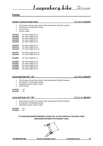#### <span id="page-14-0"></span>**Forks**

#### **Artistic cycling & team forks** (201,68 €) **240,00 €**

- All fork legs and steer tube made of high-strengthened Reynolds material
- All dropouts in strengthened quality
- Oval fork legs
- Powder-coated

| 20" frame height 22 cm<br>20" frame height 28 cm<br>20" frame height 32 cm<br>20" frame height 36 cm<br>20" frame height 40 cm |
|--------------------------------------------------------------------------------------------------------------------------------|
| 22" frame height 42 cm<br>22" frame height 44 cm<br>22" frame height 45,5 cm                                                   |
| 24" frame height 47,5 cm<br>24" frame height 49,5 cm                                                                           |
| 25" frame height 50 cm                                                                                                         |
| 26" frame height 50 cm<br>26" frame height 52 cm<br>26" frame height 55 cm<br>26" frame height 58 cm<br>26" frame height 60 cm |
|                                                                                                                                |

#### **Cycle ball forks 20″ / 22″** (201,68 €) **240,00 €**

- All fork legs and steer tube made of high-strengthened Reynolds material
- All dropouts in strengthened quality
- Standardly powder-coated in black
- Oval fork legs

**G072035** 20″ **G072240** 22″

#### **Cycle ball forks 24″ / 26″** (235,29 €) **280,00 €**

- All fork legs and steer tube made of high-strengthened Reynolds material
- All dropouts in strengthened quality
- Standardly powder-coated in black

**G072445** 24″ **G072650** 26″

#### **TO AVOID MISUNDERSTANDINGS; PLEASE TELL US THE LENGTH OF THE HEAD TUBE! (MEASURED BETWEEN THE HEADSET CUPS)**

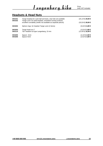# <u>l angenherg.hihe</u>

#### <span id="page-15-0"></span>**Headsets & Head Nuts**

| <b>SK0101</b><br><b>SK0102</b> | Tange headset for cycle ball and team, only hole set available<br>Tange Levin CD steel-headset, smoothed running surfaces, | (25,13 €) 29,90 €                              |
|--------------------------------|----------------------------------------------------------------------------------------------------------------------------|------------------------------------------------|
|                                | excellent runnability (shells not available as separate pieces)                                                            | (33,53 €) 39,90 €                              |
| <b>SK0202</b>                  | Sphere rings, for headset Tange Levin (2 items)                                                                            | $(5.04 \in) 6.00 \in$                          |
| <b>SK0203</b><br><b>SK0110</b> | Tange head nut 1"<br>Tall headset nut type Langenberg, 15 mm                                                               | $(2,52 \in)$ 3,00 €<br>$(13.45 \in) 16,00 \in$ |
| <b>SK0205</b><br><b>SK0206</b> | Spacer 2mm<br>Spacer 5mm                                                                                                   | $(2,10 \in) 2,50 \in$<br>$(2,52 \in)$ 3,00 €   |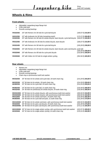#### <span id="page-16-0"></span>**Wheels & Rims**

#### **Front wheels**

| $\bullet$<br>$\bullet$<br>$\bullet$ | Adjustable Langenberg large flange hub<br>CrMo solid axle<br>Smooth-running bearings                                                  |                                                  |
|-------------------------------------|---------------------------------------------------------------------------------------------------------------------------------------|--------------------------------------------------|
| <b>VK022036</b>                     | 20" with Remerx rim 36 hole for cycle ball bicycle                                                                                    | (180,67 €) 215,00 €                              |
| <b>VK012236</b><br><b>VK022236</b>  | 22" with Ambrosio rim 36 hole (remaining stock)<br>22" with Remerx rim 36 hole for artistic bicycle, team bicycle, cycle ball bicycle | (172,27 €) 205,00 €<br>$(184.87 \in) 220.00 \in$ |
| <b>VK012436</b>                     | 24" with Ambrosio rim 36 hole for artistic bicycle, team bicycle                                                                      | $(180.67 \in) 215.00 \in$                        |
| <b>VK022436</b>                     | 25" with Remerx rim 36 hole for cycle ball bicycle                                                                                    | $(193.28 \in) 230.00 \in$                        |
| <b>VK022636</b>                     | 26" with Remerx rim 36 hole for artistic bicycle, team bicycle, pairs sub-bicycle, cycle ball                                         |                                                  |
| <b>VK022648</b>                     | 26" with Remerx rim 48 hole for cycle polo bicycle                                                                                    | (193,28 €) 230,00 €<br>$(210.08 \in) 250.00 \in$ |
| <b>VK032648</b>                     | 26" with Veltec rim 32 hole for single artistic cycling                                                                               | (352,94 €) 420,00 €                              |

#### **Rear wheels**

- Remerx rim
- Adjustable Langenberg large flange hub
- CrMo solid axle
- Smooth-running bearings
- Chain ring or synchronous tooth lock washer

| HK032036         | 20" 36 hole rim for artistic and cycle ball, 18 tooth chain ring                | (214,29 €) 255,00 €         |
|------------------|---------------------------------------------------------------------------------|-----------------------------|
| HK032236         | 22" 36 hole rim for artistic, 20 tooth chain ring                               | (214,29 €) 255,00 €         |
| HK082236         | 22" 36 hole rim for cycle ball, 20 tooth chain ring                             | (214,29 €) 255,00 €         |
| HK082436         | 24" 36 hole rim for cycle ball, 21 tooth chain ring                             | $(218, 49 \in) 260, 00 \in$ |
| HK032436         | 24" 36 hole rim (Ambrosio) for artistic bicycle, 24 tooth chain ring            | (218,49 €) <b>260,00 €</b>  |
| <b>HK032436S</b> | 24" 36 hole rim for artistic bicycle, with synchronous tooth lock washer        | (260,50 €) 310,00 €         |
| <b>HK032536S</b> | 25" 36 hole rim for artistic bicycle, with synchronous tooth lock washer        | (260,50 €) <b>310,00 €</b>  |
| HK012636         | 26" 36 hole rim for artistic and team, 24 tooth chain ring                      | (218,49 €) <b>260,00 €</b>  |
| HK082648         | 26" 48 hole rim for cycle ball and polo, 21 tooth chain ring                    | (231,09 €) <b>275,00 €</b>  |
| <b>HK012636S</b> | 26" 36 hole rim for artistic and team, with synchronous tooth lock washer       | (260,50 €) <b>310,00 €</b>  |
| <b>HK022648</b>  | 26" 48 hole rim for pairs sub-bicycle, 24 tooth chain ring                      | (231,09 €) <b>275,00 €</b>  |
| <b>HK022648S</b> | 26" 48 hole rim for pairs sub-bicycle, with synchronous tooth lock washer       | (273,11 €) <b>325,00</b> €  |
| <b>HK012636S</b> | 26" 32 hole rim for single artistic cycling, with synchronous tooth lock washer | (415,97 €) 495,00 €         |
| <b>HK022648</b>  | 26" 32 hole rim for single artistic cycling, 24 tooth chain ring                | (378,15 €) <b>450,00 €</b>  |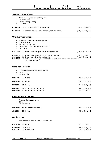#### **″Outdoor″ front wheels**

| $\bullet$<br>٠<br>٠ | Adjustable Langenberg large flange hub<br>CrMo solid axle<br>Smooth-running bearings<br>Rim 36 hole                                                |                            |
|---------------------|----------------------------------------------------------------------------------------------------------------------------------------------------|----------------------------|
|                     | <b>OV032036</b> 20" for artistic bicycle, cycle ball bicycle                                                                                       | $(155, 46 \in) 185,00 \in$ |
| OV012636            | 26" for artistic bicycle, pairs sub-bicycle, cycle ball bicycle                                                                                    | (159,66 €) 190,00 €        |
|                     | "Outdoor" rear wheels                                                                                                                              |                            |
| ٠<br>٠<br>٠<br>٠    | Adjustable Langenberg large flange hub<br>CrMo solid axle<br>smooth-running bearings<br>chain ring or synchronous tooth lock washer<br>rim 36 hole |                            |

| OH032036                         | 20" rim for artistic and cycle ball, chain ring 18 tooth                                                                                                                                                                        | $(189.08 \in) 225.00 \in$                              |
|----------------------------------|---------------------------------------------------------------------------------------------------------------------------------------------------------------------------------------------------------------------------------|--------------------------------------------------------|
| OH032636<br>OH082636<br>OH012636 | 26" rim for artistic bicycle and team, chain ring 24 tooth<br>26" rim for cycle ball, chain ring 21 tooth<br>26" rim for artistic bicycle, cycle ball and team, with synchronous tooth lock washer<br>$(231.09 \in) 275.00 \in$ | $(193.28 \in) 230.00 \in$<br>$(193.28 \in) 230.00 \in$ |
|                                  |                                                                                                                                                                                                                                 |                                                        |

#### **Rims Remerx (wide)**

|  |  |  | Double eyed aluminum hollow section rim |  |  |  |
|--|--|--|-----------------------------------------|--|--|--|
|--|--|--|-----------------------------------------|--|--|--|

• Silver • For tubular tires

| RF012036                    | 20" 36 hole                                                    | $(54,62 \in)$ 65,00 €                       |
|-----------------------------|----------------------------------------------------------------|---------------------------------------------|
| RF012236                    | 22" 36 hole                                                    | $(54, 62 \in)$ 65,00 €                      |
| RF012436                    | 24″ 36 hole                                                    | $(54, 62 \in)$ 65,00 €                      |
| RF012636<br><b>RF012648</b> | 26" 36 hole, 582 mm or 590 mm<br>26" 48 hole, 582 mm or 590 mm | $(54, 62 \in)$ 65,00 €<br>(58,82 €) 70,00 € |

#### **Rims Ambrosio (narrow)**

| $\bullet$<br>٠<br>$\bullet$ | Aluminum hollow section rim<br>Silver<br>For tubular tires |                        |
|-----------------------------|------------------------------------------------------------|------------------------|
| AF012236                    | 22" 36 hole (remaining stock)                              | $(46,22 \in)$ 55,00 €  |
| AF012436                    | 24″ 36 hole                                                | $(50, 42 \in)$ 60,00 € |
|                             |                                                            |                        |

#### **Outdoorrims**

| (21,01 €) 25,00 €                                                                                                  |
|--------------------------------------------------------------------------------------------------------------------|
| (21,01 €) 25,00 €<br>(24,37 €) 29,00 €                                                                             |
| Aluminum hollow section rim for "Outdoor"-tires<br><b>OF012036</b> 20" 36 hole<br>26″ 36 hole<br>26″ 36 hole, eved |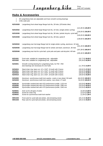#### <span id="page-18-0"></span>**Hubs & Accessories**

| $\bullet$                        | All Langenberg hubs are adjustable and have smooth-running bearings<br>CrMo solid axle                                                  |                                               |
|----------------------------------|-----------------------------------------------------------------------------------------------------------------------------------------|-----------------------------------------------|
| NZ010028                         | Langenberg front wheel large flange hub Alu, 28 hole, (20"artistic bike)                                                                |                                               |
| NZ010032                         | Langenberg front wheel large flange hub Alu, 32 hole, (single artistic cycling)                                                         | (121,85 €) 145,00 €                           |
| NZ010036                         | Langenberg front wheel large flange hub Alu, 36 hole, (artistic bicycle, cycle ball)                                                    | (126,05 €) 150,00 €                           |
| NZ010048                         | Langenberg front wheel large flange hub Alu, 48 hole, (polo) €                                                                          | (126,05 €) 150,00 €                           |
|                                  |                                                                                                                                         | (138,66 €) 165,00 €                           |
| NZ020032                         | Langenberg rear hub large flange hub for single artistic cycling, aluminum, 32 hole                                                     | (151,26 €) 180,00 €                           |
| NZ020036                         | Langenberg rear hub large flange hub for artistic and team, aluminum, 36 hole                                                           |                                               |
| NZ020048                         | Langenberg rear hub for cycle ball, cycle polo and pairs sub-bicycle4, 48 hole                                                          | (151,26 €) 180,00 €                           |
|                                  |                                                                                                                                         | (155,46 €) 185,00 €                           |
| NZ01001<br>NZ01002               | Front axle, suitable for Langenberg hub, adjustable<br>Rear axle, suitable for Langenberg hub, adjustable                               | (32,77 €) 39,00 €<br>(35,29 €) 42,00 €        |
| NZ03001                          | Smooth-running bearing for Langenberg hubs, for FW + RW<br>(two bearings are necessary for one hub!)                                    | (11,76 €) 14,00 €                             |
| NZ04024                          | Steel-chain ring, laser-cut, 1/2 x 3/16", 24 tooth with 3 bores                                                                         | (39,92 €) 47,50 €                             |
| NZ04021<br>NZ04020               | Steel-chain ring, laser-cut, 1/2 x 3/16", 21 tooth with 3 bores<br>Steel-chain ring, laser-cut, 1/2 x 3/16", 20 tooth with 3 bores      | (39,92 €) 44,90 €<br>(39,92 €) 44,90 €        |
| NZ04018                          | Steel-chain ring, laser-cut, 1/2 x 3/16", 18 tooth with 3 bores                                                                         | (39,92 €) 44,90 €                             |
| NZ04050<br>NZ04049               | Aluminum- synchronous tooth lock washer, crank or rear wheel, 50 tooth<br>Aluminum- synchronous tooth lock washer, rear wheel, 47 tooth | $(84,03 \in) 100,00 \in$<br>84,03 €) 100,00 € |
| NZ05120<br>NZ05080               | Synchroflex toothed belt with HTD performance profile, 1120 mm<br>Synchroflex toothed belt with HTD performance profile, 1080 mm        | $(33,53 \in)$ 49,00 €<br>(33,53 €) 49,00 €    |
| NZ05040                          | Synchroflex toothed belt with HTD performance profile, 1040 mm                                                                          | (33,53 €) 49,00 €                             |
| NZ06001<br>NZ06002               | Axle nut for all types of axles<br>Screw for chain ring                                                                                 | $(5,46 \in) 6,50 \in$<br>$(2,52 \in)$ 3,00 €  |
| NZ06002                          | Screw for synchronous tooth lock washer                                                                                                 | $(1,26 \in) 1,50 \in$                         |
| <b>NR01003</b><br><b>NR01004</b> | Front axle for cycle ball and artistic, old (remaining stock)<br>Rear axle for cycle ball and artistic, old (remaining stock)           | (25,21 €) 30,00 €<br>(29,41 €) 35,00 €        |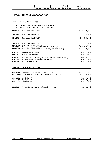### <span id="page-19-0"></span>**Tires, Tubes & Accessories**

#### **Tubular Tires & Accessories**

| $\bullet$<br>$\bullet$                            | In beige $(k)$ , black $(s)$ , blue $(b)$ and red $(r)$ available<br>Please add letter of requested color to item number!                                                                              |                                                                                      |
|---------------------------------------------------|--------------------------------------------------------------------------------------------------------------------------------------------------------------------------------------------------------|--------------------------------------------------------------------------------------|
| <b>SR01201</b>                                    | Tufo tubular tires 20" x 1"                                                                                                                                                                            | $(33,53 \in)$ 39,90 €                                                                |
| <b>SR01221</b>                                    | Tufo tubular tires 22" x 1"                                                                                                                                                                            | $(33,53 \in)$ 39,90 €                                                                |
| SR01241                                           | Tufo tubular tires 24" x 1"                                                                                                                                                                            | $(33,53 \in)$ 39,90 €                                                                |
| SR01261<br><b>SR012618</b><br>SR02261<br>SR202618 | Tufo tubular tires 26" x 1"<br>Tufo tubular tires 26" x 1 1/8"<br>Tufo Artistic tubular tires 26" x 1" (only in black available)<br>Tufo Artistic tubular tires 26" x 1 1/8" (only in black available) | $(35.21 \in)$ 41,90 €<br>(35,21 €) 41,90 €<br>(38,57 €) 45.90 €<br>(38,57 €) 45,90 € |
| <b>RZ01001</b><br>RZ01001                         | Valve cap made of metal<br>Valve cap for Sclaverand valve                                                                                                                                              | $(1,26 \in)$ 1,50 €<br>$(1,26 \in)$ 1,50 €                                           |
| RZ02001<br><b>RZ02002</b><br>RZ02003              | Tufo tape, for one 26" tire (only for wide/ RW rims, for tubular tires)<br>Rim tape, for two 26" tires (for tubular tires)<br>10 or more items, each                                                   | $(1,26 \in)$ 1,50 €<br>$(3,28 \in)$ 3,90 €<br>$(2,94 \in)$ 3,50 €                    |

#### **″Outdoor″ Tires & Accessories**

| OR022011                                              | Conti Grand Prix Outdoor tire 20" x 1.1" - black<br><b>OR0226118</b> Conti Grand Prix Outdoor tire (foldable) 26" x 1 1/8" - black | $(20.17 \in) 24,00 \in$<br>$(29.33 \in)$ 34,90 €                  |
|-------------------------------------------------------|------------------------------------------------------------------------------------------------------------------------------------|-------------------------------------------------------------------|
| <b>OR0320SC</b><br><b>OR0324SC</b><br><b>OR0326SC</b> | Conti tube 20"<br>Conti tube 24"<br>Conti tube 26"                                                                                 | $(5.88 \in)$ 7,00 €<br>$(1,26 \in)$ 7,00 €<br>$(1,26 \in)$ 7,00 € |
| <b>RZ02005</b>                                        | Rimtape for outdoor rims (self-adhesive fabric tape)                                                                               | $(4,20 \in)$ 5,00 €                                               |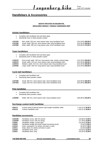### <span id="page-20-0"></span>**Handlebars & Accessories**

#### **WIDTH SPECIFIED IN MILIMETER, MEASURED MIDDLE / MIDDLE HANDEBAR GRIP**

#### **Artistic handlebars**

|                                                                                                     | Complete with handlebar bolt and black grips<br>Standardly silver or black powder-coated                                                                                                                                                                                                                         |                                                                                                                                                                              |
|-----------------------------------------------------------------------------------------------------|------------------------------------------------------------------------------------------------------------------------------------------------------------------------------------------------------------------------------------------------------------------------------------------------------------------|------------------------------------------------------------------------------------------------------------------------------------------------------------------------------|
| LZ01320<br>LZ01350<br>LZ01380                                                                       | Mini; width: 320 mm; short steerer tube; long handlebar bush<br>Small; width: 350 mm; short steerer tube; long handlebar bush<br>Wide; width: 380 mm; long steerer tube; short handlebar bush                                                                                                                    | (214,29 €) 255,00 €<br>(214,29 €) 255,00 €<br>(226,89 €) 270,00 €                                                                                                            |
|                                                                                                     | <b>Team handlebars</b>                                                                                                                                                                                                                                                                                           |                                                                                                                                                                              |
| $\bullet$                                                                                           | Complete with handlebar bolt and black grips<br>Standardly silver or black powder-coated                                                                                                                                                                                                                         |                                                                                                                                                                              |
| LZ05370<br>LZ05370<br><b>LZ05410</b><br>LZ05450                                                     | Extra small; width: 190 mm; long steerer tube; artistic cycling shape<br>Small; width: 370 mm; short steerer tube; long handlebar bush<br>Medium; width: 410 mm; short steerer tube; long handlebar bush<br>Large; width: 450 mm; long steerer tube; long handlebar bush                                         | (214,29 €) 255,00 €<br>(214,29 €) 255,00 €<br>(214,29 €) 255,00 €<br>(214,29 €) 255,00 €                                                                                     |
|                                                                                                     | <b>Cycle ball handlebars</b>                                                                                                                                                                                                                                                                                     |                                                                                                                                                                              |
| ٠<br>$\bullet$                                                                                      | Complete with handlebar bolt<br>Standardly black powder-coated                                                                                                                                                                                                                                                   |                                                                                                                                                                              |
| <b>LZ07280</b><br><b>LZ07320</b>                                                                    | Small; 280 mm; short steerer tube; short handlebar bush<br>Large; 320 mm; short steerer tube; short handlebar bush                                                                                                                                                                                               | (222.68 €) 265,00 €<br>(222.68 €) 265,00 €                                                                                                                                   |
|                                                                                                     | Polo handlebar                                                                                                                                                                                                                                                                                                   |                                                                                                                                                                              |
| $\bullet$                                                                                           | Complete with handlebar bolt<br>Standardly black powder-coated                                                                                                                                                                                                                                                   |                                                                                                                                                                              |
| <b>LZ06380</b>                                                                                      | Width: 380 mm; short steerer tube; long handlebar bush                                                                                                                                                                                                                                                           | (205,88 €) 245,00 €                                                                                                                                                          |
|                                                                                                     | Surcharge custom build handlebar                                                                                                                                                                                                                                                                                 |                                                                                                                                                                              |
| AS0111<br>AS0112                                                                                    | Custom build of special steerer tube length/ handlebar width<br>Custom handlebar color                                                                                                                                                                                                                           | + (25,21 €) 30,00 €<br>+ (25,21 €) 30,00 €                                                                                                                                   |
|                                                                                                     | <b>Handlebar accessories</b>                                                                                                                                                                                                                                                                                     |                                                                                                                                                                              |
| LZ02180<br>LZ02200<br>LZ0201<br><b>LZ0202</b><br><b>LZ0210</b><br>LZ0211<br><b>LZ0220</b><br>LZ0221 | Handlebar screw, 180 mm (short)<br>Handlebar screw, 200 mm (long)<br>Handlebar wedge, current type<br>Handlebar wedge old (sheet metal) (remaining stock)<br>Grips, transparent, for artistic and team (1 pair)<br>Grips, black, for artistic and team (1 pair)<br>Handlebar bush, short<br>Handlebar bush, long | (10,08 €) 12,00 €<br>(11,76 €) 14,00 €<br>(10,50 €) 12,50 €<br>$(3,36 \in)$ 4,00 €<br>$(6,30 \in)$ 7,50 €<br>$(5,46 \in) 6,50 \in$<br>(10,50 €) 12,50 €<br>(10,50 €) 12,50 € |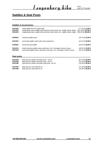### <span id="page-21-0"></span>**Saddles & Seat Posts**

#### **Saddles & Accessories**

| SZ01003<br>SZ01001<br>SZ01002 | Child saddle for mini artistic bike<br>Langenberg raiser saddle with aluminum base frame incl. saddle clamp, beige<br>Langenberg raiser saddle with aluminum base frame incl. saddle clamp, beige | $(11,76 \in)$ 14,00 €<br>(231,09 €) 275,00 €<br>(235,29 €) 280,00 € |
|-------------------------------|---------------------------------------------------------------------------------------------------------------------------------------------------------------------------------------------------|---------------------------------------------------------------------|
| SZ09001                       | Unicycle saddle Quax                                                                                                                                                                              | $(19,75 \in) 23,50 \in$                                             |
| SZ07001                       | Cycle ball saddle, black with corner protectors                                                                                                                                                   | $(21,01 \in) 25,00 \in$                                             |
| SZ06001                       | Cycle polo gel saddle                                                                                                                                                                             | $(23,53 \in) 28,00 \in$                                             |
| SZ01010<br>SZ07010            | Artistic bicycle saddle clamp, aluminum, incl. 6 hexagon socket screws<br>Cycle ball saddle clamp, aluminum, two-part, incl. 4 hexagon socket screws                                              | $(29, 41 \in)$ 35,00 €<br>(22,61 €) 40,00 €                         |

#### **Seat posts**

| <b>SZ01200</b> | Seat post for artistic and team short - 20 cm -      | $(67.23 \in) 80.00 \in$ |
|----------------|------------------------------------------------------|-------------------------|
| <b>SZ01300</b> | Seat post for artistic and team long - 30 cm -       | $(71.43 \in) 85,00 \in$ |
| <b>SZ01400</b> | Seat post for artistic and team extra-long - 40 cm - | $(75.63 \in)$ 90,00 €   |
| <b>SZ07400</b> | Seat post for cycle ball 40 cm                       | $(71.43 \in) 85,00 \in$ |
| <b>SZ07500</b> | Seat post for cycle ball 50 cm                       | $(75.63 \in)$ 90,00 €   |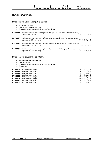#### <span id="page-22-0"></span>**Inner Bearings**

#### **Inner bearing Langenberg 78 & 68 mm**

- For different bicycles
- Significantly improved chain line
- Screwable bottom bracket shells made of aluminum
- **IL0368119** Maintenance-free inner bearing for artistic, cycle ball and team, 68 mm crankcase, square axis 119 mm (23,11 €) **27,50 € IL0378127** Maintenance-free inner bearing for artistic chain drive bicycle, 78 mm crankcase, square axis 127,5 mm long (71,43 €) **85,00 € IL0878127** Maintenance-free inner bearing for cycle ball chain drive bicycle, 78 mm crankcase,<br>€ 85,00 & 71.43) square axis 127.5 mm long square axis 127,5 mm long **IL0178131** Maintenance-free inner bearing for artistic/ cycle ball TBD bicycle, 78 mm crankcase,<br>€ 85.00 mm long square axis 131.0 mm long square axis 131,0 mm long

#### **Inner bearing standard size 68 mm**

- Maintenance-free inner bearing
- 8 mm crankcase
- Screwable bottom bracket shells made of aluminum
- Square axis

| IL1068107<br>107,5 mm axle length<br>IL1068110<br>110,5 mm axle length<br>113,5 mm axle length<br>IL1068113<br>IL1068115<br>115,0 mm axle length | $(18,91 \in)$ 22,50 €<br>$(18.91 \in)$ 22,50 €<br>$(18.91 \in)$ 22,50 €<br>$(18.91 \in)$ 22,50 € |
|--------------------------------------------------------------------------------------------------------------------------------------------------|--------------------------------------------------------------------------------------------------|
| IL1068119<br>119,0 mm axle length<br>IL1068122<br>122,5 mm axle length<br>IL1068127<br>127,5 mm axle length<br>IL1068131<br>131,0 mm axle length | $(18.91 \in)$ 22,50 €<br>$(18.91 \in)$ 22,50 €<br>$(18.91 \in)$ 22,50 €<br>$(18.91 \in)$ 22,50 € |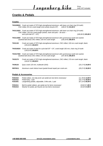### <span id="page-23-0"></span>**Cranks & Pedals**

#### **Cranks**

|                                 | <b>TK0109024</b> Crank set made of 7075 high-strengthened aluminum, with laser-cut chain ring (24 tooth)<br>CNC milled, 90 mm crank length (mini artistic bicycle 20")<br>(180,67 €) 215,00 €             |                         |
|---------------------------------|-----------------------------------------------------------------------------------------------------------------------------------------------------------------------------------------------------------|-------------------------|
|                                 | TK0113024 Crank set made of 7075 high-strengthened aluminum, with laser-cut chain ring (24 tooth)<br>CNC milled, 130 mm crank length (artistic, team and polo – all sizes –<br>and cycle ball $22" + 20"$ | $(189,08 \in)$ 225,00 € |
|                                 | <b>TK0113050</b> Crank set made of 7075 high-strengthened aluminum with synchronous tooth lock washer<br>(toothed belt drive) CNC milled, 130 mm crank length<br>(235,29 €) 280,00 €                      |                         |
| TK01130                         | Crank set made of 7075 high-strengthened aluminum, CNC milled, 130 mm crank length, blank<br>(155,46 €) 185,00 €                                                                                          |                         |
|                                 | <b>TK0316524</b> Crank set made of steel for cycle ball 26" + 24", crank length 165 mm, chain ring 24 tooth<br>(130,25 €) 155,00 €                                                                        |                         |
|                                 | <b>TK0317050</b> Crank set made of 7075 high-strengthened aluminum with synchronous tooth lock washer<br>(toothed belt drive) CNC milled, 170 mm crank length<br>(247,90 €) 295,00 €                      |                         |
| <b>TK03170</b>                  | Crank set made of 7075 high-strengthened aluminum, CNC milled, 170 mm crank length, blank<br>(163,87 €) 195,00 €                                                                                          |                         |
| TK09125                         | Quax crank 125 mm, multitooth (ISIS)                                                                                                                                                                      | (20,17 €) 24,00 €       |
| <b>REP0011</b>                  | Aluminum crank Helicol insert (pedal thread repair) per crank arm                                                                                                                                         | $(25.21 \in) 30.00 \in$ |
| <b>Pedals &amp; Accessories</b> |                                                                                                                                                                                                           |                         |

| <b>PZ01010</b> | Pedal rubber, non-slip proof, per pedal are two items necessary! | $(11.76 \in) 14,00 \in$ |
|----------------|------------------------------------------------------------------|-------------------------|
| <b>PZ01012</b> | Pedal body, 1 pair                                               | $(32.77 \in) 39,00 \in$ |
| <b>PZ01001</b> | Langenberg pedals, adjustable, CrMo axle, 1 pair                 | $(67.23 \in) 80.00 \in$ |
| PZ01011        | Bolt for pedal rubbers, per pedal are for items necessary!       | $(0.84 \in) 1,00 \in$   |
| PZ01013        | Washer for pedal, per bicycle are two items necessary!           | $(0,42 \in)$ 0,50 €     |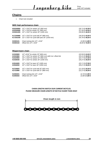#### <span id="page-24-0"></span>**Chains**

• Chain lock included

#### **IWIS high performance chain**

|                      | <b>K03240950</b> $1/2" \times 3/16"$ for artistic 24" (950 mm)<br><b>K03250990</b> $1/2" \times 3/16"$ for artistic 25" (990 mm)<br><b>K03261005</b> $1/2$ " x 3/16" for artistic 26" (1005 mm) | (35,71 €) 42,50 €<br>$(37,40 \in)$ 44,50 €<br>$(39.08 \in)$ 46,50 € |
|----------------------|-------------------------------------------------------------------------------------------------------------------------------------------------------------------------------------------------|---------------------------------------------------------------------|
|                      | <b>K17240980</b> 1/2" x 3/16" for cycle ball 24" (980 mm)<br><b>K17261030</b> $1/2"$ x 3/16" for cycle ball/ polo 26" (1030 mm)                                                                 | (36,55 €) 43,50 €<br>$(40.76 \in)$ 48,50 €                          |
| K0300101<br>K0300102 | Chain locking link 1/2" x 3/16"<br>Offset link 1/2" x 3/16"                                                                                                                                     | $(3,36 \in)$ 4,00 €<br>$(8,40 \in)$ 10,00 €                         |

#### **Wippermann chain**

| K2320800 | $1/2$ " x3/16" for artistic 20" (800 mm)                             | $(20,59 \in)$ 24,50 €     |
|----------|----------------------------------------------------------------------|---------------------------|
| K2322860 | $1/2$ " x $3/16$ " for artistic 22" (860 mm) with/ incl. offset link | $(25.21 \in) 30.00 \in$   |
| K2324950 | $1/2$ " x 3/16" for artistic 24" (950 mm)                            | $(23, 11 \in) 27, 50 \in$ |
| K2326030 | $1/2$ " x 3/16" for artistic 26" (1030 mm)                           | $(25,21 \in) 30,00 \in$   |
| K2524005 | $1/2$ " x 3/16" for team 24" (1005 mm)                               | $(23, 11 \in) 27, 50 \in$ |
| K2526050 | $1/2$ " x 3/16" for team 26" (1050 mm)                               | $(25.21 \t∈) 30.00 \t∈$   |
| K2720825 | $1/2"$ x 3/16" for cycle ball 20" (825 mm)                           | $(21, 43 \in) 25, 50 \in$ |
| K2722880 | 1/2" x 3/16" for cycle ball 22" (880 mm)                             | $(22,27 \in) 26,50 \in$   |
| K2300201 | Chain locking link 1/2" x 3/16"                                      | $(2,10 \in)$ 2,50 €       |
| K2300202 | Offset link 1/2" x 3/16"                                             | $(3,36 \in)$ 4,00 €       |

#### **CHAIN LENGTHS MATCH OUR CURRENT BICYCLES. PLEASE MEASURE CHAIN LENGTH OF BICYCLE OLDER THAN 2010!**

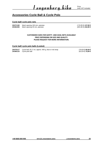<u>l angenherg.hihe</u>

### <span id="page-25-0"></span>**Accessories Cycle Ball & Cycle Polo**

#### **Cycle ball/ cycle polo nets**

| ZK071100 | Mesh opening 100 mm, pairwise |
|----------|-------------------------------|
| ZK061045 | Mesh opening 45 mm, pairwise  |

**Zander (115,55 €)** 137,50 € **Z**(203,36 €) **242,00 €** 

#### **CUSTOMIZED SIZES FOR SAFETY- AND GOAL NETS AVAILABLE! PRICE DEPENDING ON SIZE AND QUALITY. PLEASE REQUEST FOR MORE INFORMATION.**

#### **Cycle ball/ cycle polo balls (Loskot)**

**ZK070117** Cycle ball, Ø 17 cm, approx. 600 g, blue or red strap **ZK060110** Cycle polo ball

**ZA0636 Z 95,00 €**<br> **(63,03 €) <b>75,00 €**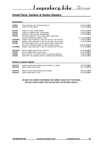### <span id="page-26-0"></span>**Small Parts, Spokes & Spoke Nipples**

#### **Small parts**

| <b>ZK0501</b><br><b>ZK0502</b> | Chain tensioner with chromed head nut<br>Screw for TBD dropout                                                          | $(5,46 \in)$ 6,50 €<br>$(1,26 \in) 1,50 \in$ |
|--------------------------------|-------------------------------------------------------------------------------------------------------------------------|----------------------------------------------|
| <b>ZK0401</b>                  | Collar nut, short, simple design                                                                                        | $(2,94 \in)$ 3,50 €                          |
| <b>ZK0402</b>                  | Collar nut, medium short, round design                                                                                  | $(2,94 \in)$ 3,50 €                          |
| <b>ZK0403</b>                  | Head nut, LBB cycle ball, strengthened                                                                                  | $(7,56 \in)$ 9,00 €                          |
| <b>ZK0404</b>                  | Pins (foot support) 17 mm wrench width, sealed form,<br>with nylon-reinforced rubber (1 item)                           | (11,76 €) 14,00 €                            |
| ZK040430                       | Rubber, nylon-reinforced, 1 item, for new pins, 30 mm long                                                              | $(1,68 \in) 2,00 \in$                        |
| <b>ZK0405</b><br><b>ZK0405</b> | Rubber, nylon-reinforced, 1 item, for new pins, 40 mm long<br>Pins (foot support) OLD, 15 mm wrench width, sealed type, | $(2,10 \in)$ 2,50 €                          |
|                                | with nylon-reinforced rubber (1 item) (remaining stock)                                                                 | $(8,40 \in)$ 10,00 €                         |
| ZK040450                       | Rubber, nylon-reinforced, 1 item, for OLD pins, 50 mm long                                                              | $(2,10 \in)$ 2,50 €                          |
| ZK030132                       | Bolt for saddle clamp 32 mm or 35 mm                                                                                    | $(4,20 \in)$ 5,00 €                          |
| <b>ZK0302</b>                  | Bolt for saddle clamp; current style                                                                                    | $(5,46 \in)$ 6,50 €                          |
| <b>ZK0303</b>                  | Setscrew M8 x 10, stainless steel, for seat tube clamping                                                               | $(2,52 \in)$ 3,00 €                          |
| <b>ZK0303</b>                  | Screw M5 x 50, stainless steel, for saddle clamp thread lug                                                             | $(1,26 \in) 1,50 \in$                        |
|                                |                                                                                                                         |                                              |
|                                | <b>Spokes &amp; Spoke nipples</b>                                                                                       |                                              |
| ZK01XXX<br>ZK01016             | Spokes Nirosta silver (please name length), incl. nipple<br>Spoke nipple silver 16 mm                                   | $(0,67 \in)$ 0,80 €<br>$(0,21 \in)$ 0,25 €   |
| ZK02XXX<br>ZK02016             | Spokes Nirosta black (please name length)<br>Spoke nipple black 14 mm                                                   | $(0,84 \in) 1,00 \in$<br>$(0,25 \in)$ 0,30 € |

#### **IN CASE YOU CANNOT DETERMINE THE CORRECT LENGTH OF THE SPOKES, WE WILL GLADLY ASSIST YOU IN SELECTING THE OPTIMAL LENGTH.**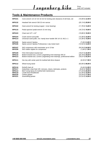### <span id="page-27-0"></span>**Tools & Maintenance Products**

| <b>WP0101</b>                                             | Cone wrench 13/14/15/16 mm for locking axle clearance of old hubs, set                                                                                                      | (10,08 €) 12.00 €                                                                          |
|-----------------------------------------------------------|-----------------------------------------------------------------------------------------------------------------------------------------------------------------------------|--------------------------------------------------------------------------------------------|
| <b>WP0132</b>                                             | Headset/ fork wrench SW 32 mm narrow                                                                                                                                        | (25,13 €) 29,90 €                                                                          |
| <b>WP0102</b>                                             | Hook wrench for locking (cogset + inner bearing)                                                                                                                            | (11,76 €) 14,00 €                                                                          |
| <b>WP0115</b>                                             | Pedal spanner/ pedal wrench 15 mm long                                                                                                                                      | (16,72 €) 19,90 €                                                                          |
| <b>WP0103</b>                                             | Chain tool $1/2" \times 1/4"$                                                                                                                                               | (15,88 €) 18,90 €                                                                          |
| <b>WP0104</b><br><b>WP0114</b>                            | Crank wrench and puller<br>Universal crank puller, incl. handy lever handle SW 14/15, M12 x 1                                                                               | (13,36 €) 15,90 €<br>(13,36 €) 15,90 €                                                     |
| <b>WP0105</b><br><b>WP0106</b>                            | Spoke wrench Spokey<br>Spoke wrench Spokey Professional, 2-ply metal insert                                                                                                 | $(7,48 \in) 8,90 \in$<br>(12,52 €) 14,90 €                                                 |
| <b>WP0107</b><br><b>WP0108</b>                            | SKS compressor with manometer up to 13 bar<br>SKS rubber nipples for compressor                                                                                             | $(54.54 \in)$ 64,90 €<br>$(1,26 \in) 1,50 \in$                                             |
| <b>WP0109</b><br><b>WP0110</b><br>WP0113                  | FAG-KSS bottom bracket tool<br>Bottom bracket tool, current Langenberg inner bearings SW 22<br>Bottom bracket tool, current Langenberg inner bearings, professional edition | (18,91 €) 22,50 €<br>(24,79 €) 29,50 €<br>(78,57 €) 93,50 €                                |
| <b>WP0111</b>                                             | Hex key with center point for toothed belt drive dropout                                                                                                                    | $(6,30 \in)$ 7,50 €                                                                        |
| <b>WP0112</b>                                             | Wheel truing stand                                                                                                                                                          | (83,95 €) 99,90 €                                                                          |
| <b>WP0116</b><br><b>WP0117</b><br><b>WP0113</b><br>WP0119 | Rohloff chain oil<br>Kettenfluid, chain fluid 105: removes, cleans, lubricates, protects<br>Belt-Tuning-Spray for toothed belt maintenance<br>Loctite blue threadlocker     | $(5,46 \in) 6,50 \in$<br>(9,20 €) 10,95 €<br>(17,23 €) <b>20,50 €</b><br>(13,36 €) 15,90 € |
| <b>WP0120</b><br><b>WP0121</b>                            | Carbon gripper<br>Assembling grease                                                                                                                                         | (15,04 €) 17,90 €<br>(12,52 €) 14,90 €                                                     |